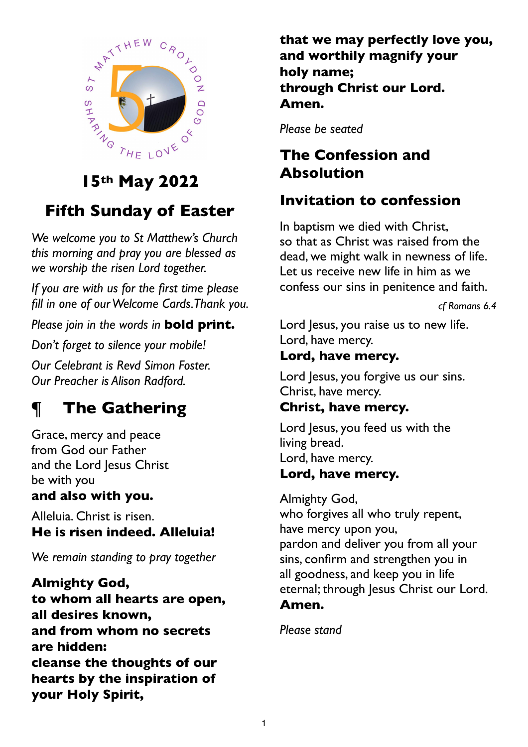

# **15th May 2022**

# **Fifth Sunday of Easter**

*We welcome you to St Matthew's Church this morning and pray you are blessed as we worship the risen Lord together.* 

*If you are with us for the first time please fill in one of our Welcome Cards.Thank you.* 

*Please join in the words in* **bold print.** 

*Don't forget to silence your mobile!*

*Our Celebrant is Revd Simon Foster. Our Preacher is Alison Radford.*

# **¶ The Gathering**

Grace, mercy and peace from God our Father and the Lord Jesus Christ be with you

#### **and also with you.**

Alleluia. Christ is risen. **He is risen indeed. Alleluia!**

*We remain standing to pray together*

**Almighty God, to whom all hearts are open, all desires known, and from whom no secrets are hidden: cleanse the thoughts of our hearts by the inspiration of your Holy Spirit,**

**that we may perfectly love you, and worthily magnify your holy name; through Christ our Lord. Amen.**

*Please be seated*

### **The Confession and Absolution**

# **Invitation to confession**

In baptism we died with Christ, so that as Christ was raised from the dead, we might walk in newness of life. Let us receive new life in him as we confess our sins in penitence and faith.

*cf Romans 6.4*

Lord Jesus, you raise us to new life. Lord, have mercy.

### **Lord, have mercy.**

Lord Jesus, you forgive us our sins. Christ, have mercy.

### **Christ, have mercy.**

Lord Jesus, you feed us with the living bread. Lord, have mercy.

### **Lord, have mercy.**

Almighty God, who forgives all who truly repent, have mercy upon you, pardon and deliver you from all your sins, confirm and strengthen you in all goodness, and keep you in life eternal; through Jesus Christ our Lord.

### **Amen.**

*Please stand*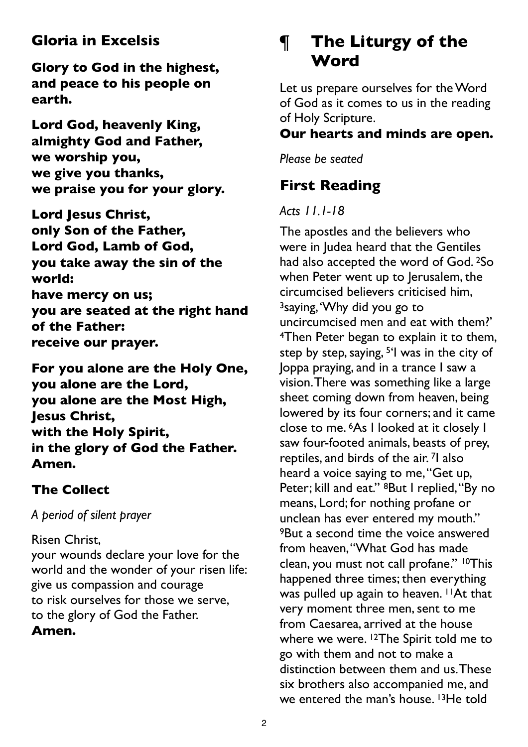### **Gloria in Excelsis**

**Glory to God in the highest, and peace to his people on earth.**

**Lord God, heavenly King, almighty God and Father, we worship you, we give you thanks, we praise you for your glory.**

**Lord Jesus Christ, only Son of the Father, Lord God, Lamb of God, you take away the sin of the world: have mercy on us; you are seated at the right hand of the Father: receive our prayer.**

**For you alone are the Holy One, you alone are the Lord, you alone are the Most High, Jesus Christ, with the Holy Spirit, in the glory of God the Father. Amen.** 

#### **The Collect**

#### *A period of silent prayer*

#### Risen Christ,

your wounds declare your love for the world and the wonder of your risen life: give us compassion and courage to risk ourselves for those we serve, to the glory of God the Father.

#### **Amen.**

# **¶ The Liturgy of the Word**

Let us prepare ourselves for the Word of God as it comes to us in the reading of Holy Scripture.

#### **Our hearts and minds are open.**

*Please be seated*

### **First Reading**

#### *Acts 11.1-18*

The apostles and the believers who were in Judea heard that the Gentiles had also accepted the word of God. 2So when Peter went up to Jerusalem, the circumcised believers criticised him, 3saying, 'Why did you go to uncircumcised men and eat with them?' 4Then Peter began to explain it to them, step by step, saying, 5'I was in the city of Joppa praying, and in a trance I saw a vision. There was something like a large sheet coming down from heaven, being lowered by its four corners; and it came close to me. 6As I looked at it closely I saw four-footed animals, beasts of prey, reptiles, and birds of the air. 7I also heard a voice saying to me, "Get up, Peter; kill and eat." <sup>8</sup>But I replied, "By no means, Lord; for nothing profane or unclean has ever entered my mouth." 9But a second time the voice answered from heaven, "What God has made clean, you must not call profane." 10This happened three times; then everything was pulled up again to heaven. <sup>11</sup>At that very moment three men, sent to me from Caesarea, arrived at the house where we were. 12The Spirit told me to go with them and not to make a distinction between them and us. These six brothers also accompanied me, and we entered the man's house. 13He told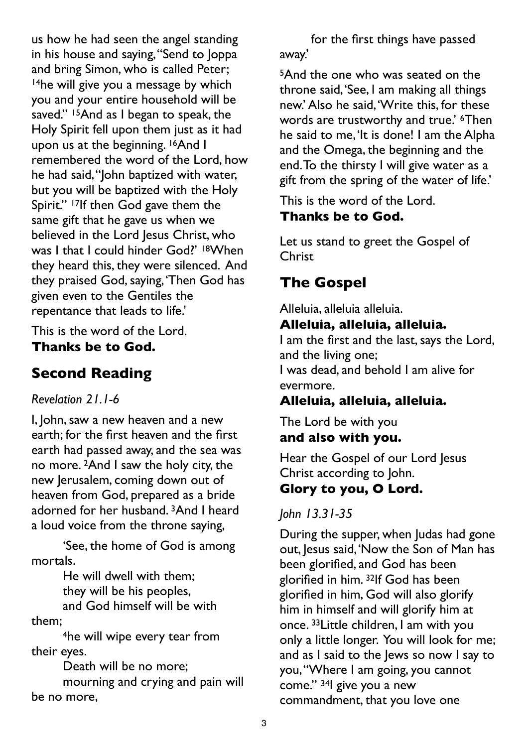us how he had seen the angel standing in his house and saying, "Send to Joppa and bring Simon, who is called Peter; 14he will give you a message by which you and your entire household will be saved." <sup>15</sup>And as I began to speak, the Holy Spirit fell upon them just as it had upon us at the beginning. 16And I remembered the word of the Lord, how he had said, "John baptized with water, but you will be baptized with the Holy Spirit." <sup>17</sup>If then God gave them the same gift that he gave us when we believed in the Lord Jesus Christ, who was I that I could hinder God?' <sup>18</sup>When they heard this, they were silenced. And they praised God, saying, 'Then God has given even to the Gentiles the repentance that leads to life.'

This is the word of the Lord. **Thanks be to God.**

### **Second Reading**

*Revelation 21.1-6*

I, John, saw a new heaven and a new earth; for the first heaven and the first earth had passed away, and the sea was no more. 2And I saw the holy city, the new Jerusalem, coming down out of heaven from God, prepared as a bride adorned for her husband. 3And I heard a loud voice from the throne saying,

'See, the home of God is among mortals.

He will dwell with them; they will be his peoples,

and God himself will be with them;

4he will wipe every tear from their eyes.

Death will be no more;

mourning and crying and pain will be no more,

for the first things have passed away.'

5And the one who was seated on the throne said, 'See, I am making all things new.' Also he said, 'Write this, for these words are trustworthy and true.' 6Then he said to me, 'It is done! I am the Alpha and the Omega, the beginning and the end. To the thirsty I will give water as a gift from the spring of the water of life.'

This is the word of the Lord.

### **Thanks be to God.**

Let us stand to greet the Gospel of Christ

# **The Gospel**

Alleluia, alleluia alleluia.

#### **Alleluia, alleluia, alleluia.**

I am the first and the last, says the Lord, and the living one;

I was dead, and behold I am alive for evermore.

### **Alleluia, alleluia, alleluia.**

The Lord be with you **and also with you.**

Hear the Gospel of our Lord Jesus Christ according to John. **Glory to you, O Lord.**

*John 13.31-35*

During the supper, when Judas had gone out, Jesus said, 'Now the Son of Man has been glorified, and God has been glorified in him. 32If God has been glorified in him, God will also glorify him in himself and will glorify him at once. 33Little children, I am with you only a little longer. You will look for me; and as I said to the Jews so now I say to you, "Where I am going, you cannot come." 34I give you a new commandment, that you love one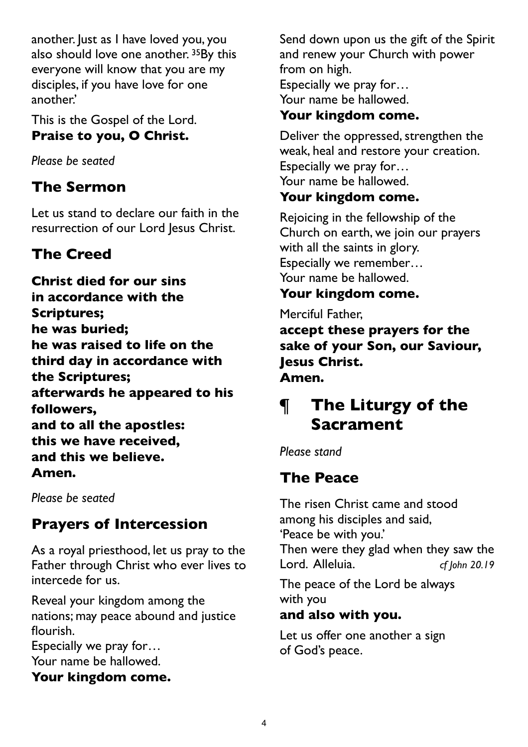another. Just as I have loved you, you also should love one another. 35By this everyone will know that you are my disciples, if you have love for one another.'

This is the Gospel of the Lord. **Praise to you, O Christ.**

*Please be seated* 

### **The Sermon**

Let us stand to declare our faith in the resurrection of our Lord Jesus Christ.

# **The Creed**

**Christ died for our sins in accordance with the Scriptures; he was buried; he was raised to life on the third day in accordance with the Scriptures; afterwards he appeared to his followers, and to all the apostles: this we have received, and this we believe. Amen.**

*Please be seated*

### **Prayers of Intercession**

As a royal priesthood, let us pray to the Father through Christ who ever lives to intercede for us.

Reveal your kingdom among the nations; may peace abound and justice flourish.

Especially we pray for… Your name be hallowed.

#### **Your kingdom come.**

Send down upon us the gift of the Spirit and renew your Church with power from on high. Especially we pray for… Your name be hallowed.

### **Your kingdom come.**

Deliver the oppressed, strengthen the weak, heal and restore your creation. Especially we pray for… Your name be hallowed.

### **Your kingdom come.**

Rejoicing in the fellowship of the Church on earth, we join our prayers with all the saints in glory. Especially we remember… Your name be hallowed.

#### **Your kingdom come.**

Merciful Father, **accept these prayers for the sake of your Son, our Saviour, Jesus Christ. Amen.**

# **¶ The Liturgy of the Sacrament**

*Please stand* 

### **The Peace**

The risen Christ came and stood among his disciples and said, 'Peace be with you.' Then were they glad when they saw the Lord. Alleluia. *cf John 20.19*

The peace of the Lord be always with you

#### **and also with you.**

Let us offer one another a sign of God's peace.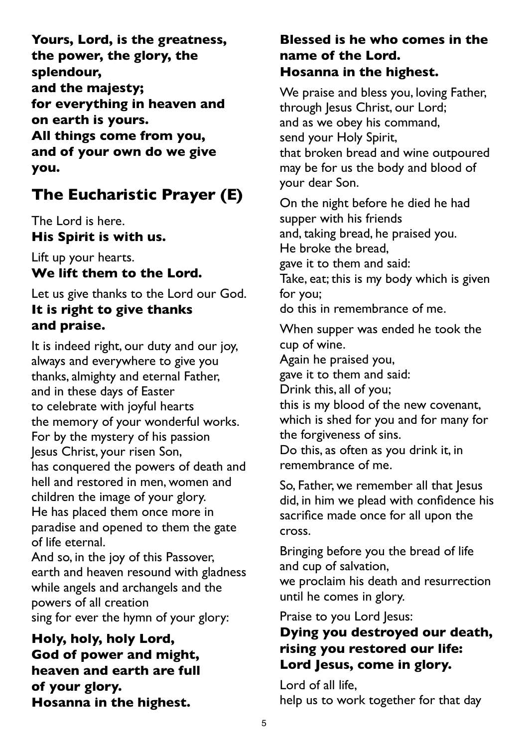**Yours, Lord, is the greatness, the power, the glory, the splendour, and the majesty; for everything in heaven and on earth is yours. All things come from you, and of your own do we give you.**

# **The Eucharistic Prayer (E)**

The Lord is here. **His Spirit is with us.**

Lift up your hearts. **We lift them to the Lord.**

Let us give thanks to the Lord our God. **It is right to give thanks and praise.**

It is indeed right, our duty and our joy, always and everywhere to give you thanks, almighty and eternal Father, and in these days of Easter to celebrate with joyful hearts the memory of your wonderful works. For by the mystery of his passion Jesus Christ, your risen Son, has conquered the powers of death and hell and restored in men, women and children the image of your glory. He has placed them once more in paradise and opened to them the gate of life eternal.

And so, in the joy of this Passover, earth and heaven resound with gladness while angels and archangels and the powers of all creation sing for ever the hymn of your glory:

**Holy, holy, holy Lord, God of power and might, heaven and earth are full of your glory. Hosanna in the highest.**

#### **Blessed is he who comes in the name of the Lord. Hosanna in the highest.**

We praise and bless you, loving Father, through Jesus Christ, our Lord; and as we obey his command, send your Holy Spirit, that broken bread and wine outpoured may be for us the body and blood of your dear Son.

On the night before he died he had supper with his friends and, taking bread, he praised you. He broke the bread, gave it to them and said:

Take, eat; this is my body which is given for you;

do this in remembrance of me.

When supper was ended he took the cup of wine.

Again he praised you,

gave it to them and said:

Drink this, all of you;

this is my blood of the new covenant, which is shed for you and for many for the forgiveness of sins.

Do this, as often as you drink it, in remembrance of me.

So, Father, we remember all that Jesus did, in him we plead with confidence his sacrifice made once for all upon the cross.

Bringing before you the bread of life and cup of salvation,

we proclaim his death and resurrection until he comes in glory.

Praise to you Lord Jesus:

### **Dying you destroyed our death, rising you restored our life: Lord Jesus, come in glory.**

Lord of all life, help us to work together for that day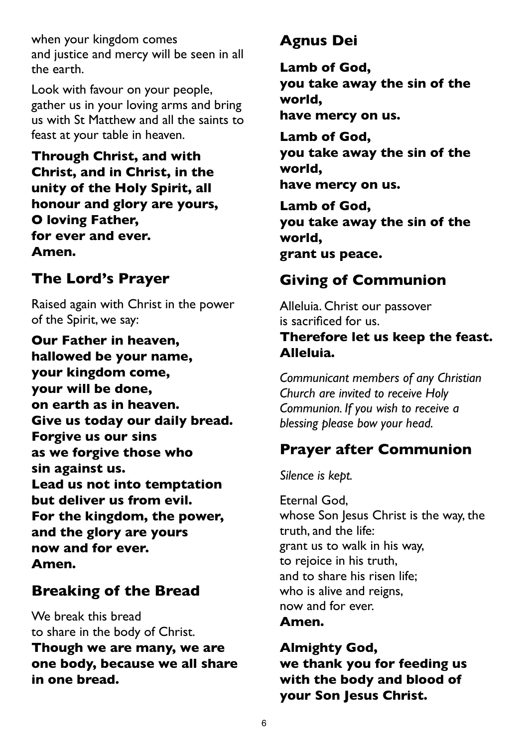when your kingdom comes and justice and mercy will be seen in all the earth.

Look with favour on your people, gather us in your loving arms and bring us with St Matthew and all the saints to feast at your table in heaven.

**Through Christ, and with Christ, and in Christ, in the unity of the Holy Spirit, all honour and glory are yours, O loving Father, for ever and ever. Amen.**

### **The Lord's Prayer**

Raised again with Christ in the power of the Spirit, we say:

**Our Father in heaven, hallowed be your name, your kingdom come, your will be done, on earth as in heaven. Give us today our daily bread. Forgive us our sins as we forgive those who sin against us. Lead us not into temptation but deliver us from evil. For the kingdom, the power, and the glory are yours now and for ever. Amen.** 

### **Breaking of the Bread**

We break this bread to share in the body of Christ.

**Though we are many, we are one body, because we all share in one bread.**

### **Agnus Dei**

**Lamb of God, you take away the sin of the world, have mercy on us.**

**Lamb of God, you take away the sin of the world, have mercy on us.**

**Lamb of God, you take away the sin of the world, grant us peace.**

# **Giving of Communion**

Alleluia. Christ our passover is sacrificed for us.

#### **Therefore let us keep the feast. Alleluia.**

*Communicant members of any Christian Church are invited to receive Holy Communion. If you wish to receive a blessing please bow your head.*

### **Prayer after Communion**

*Silence is kept.*

Eternal God, whose Son Jesus Christ is the way, the truth, and the life: grant us to walk in his way, to rejoice in his truth, and to share his risen life; who is alive and reigns, now and for ever. **Amen.**

**Almighty God, we thank you for feeding us with the body and blood of your Son Jesus Christ.**